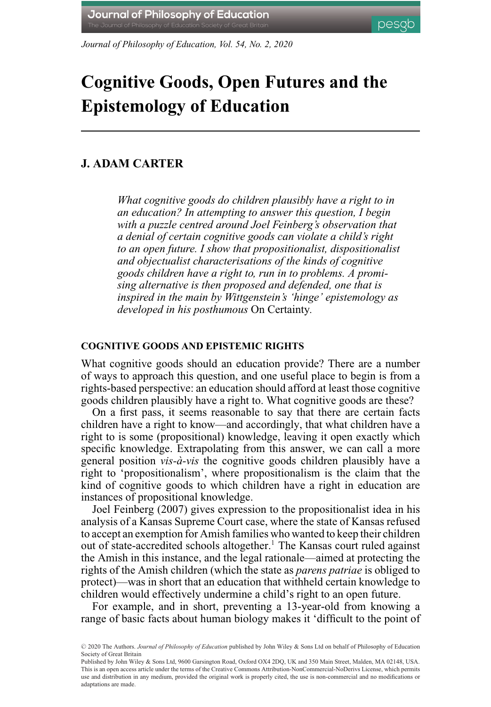*Journal of Philosophy of Education, Vol. 54, No. 2, 2020*

# **Cognitive Goods, Open Futures and the Epistemology of Education**

## **J. ADAM CARTER**

*What cognitive goods do children plausibly have a right to in an education? In attempting to answer this question, I begin with a puzzle centred around Joel Feinberg's observation that a denial of certain cognitive goods can violate a child's right to an open future. I show that propositionalist, dispositionalist and objectualist characterisations of the kinds of cognitive goods children have a right to, run in to problems. A promising alternative is then proposed and defended, one that is inspired in the main by Wittgenstein's 'hinge' epistemology as developed in his posthumous* On Certainty*.*

#### **COGNITIVE GOODS AND EPISTEMIC RIGHTS**

What cognitive goods should an education provide? There are a number of ways to approach this question, and one useful place to begin is from a rights-based perspective: an education should afford at least those cognitive goods children plausibly have a right to. What cognitive goods are these?

On a first pass, it seems reasonable to say that there are certain facts children have a right to know—and accordingly, that what children have a right to is some (propositional) knowledge, leaving it open exactly which specific knowledge. Extrapolating from this answer, we can call a more general position *vis-à-vis* the cognitive goods children plausibly have a right to 'propositionalism', where propositionalism is the claim that the kind of cognitive goods to which children have a right in education are instances of propositional knowledge.

Joel Feinberg (2007) gives expression to the propositionalist idea in his analysis of a Kansas Supreme Court case, where the state of Kansas refused to accept an exemption for Amish families who wanted to keep their children out of state-accredited schools altogether.<sup>1</sup> The Kansas court ruled against the Amish in this instance, and the legal rationale—aimed at protecting the rights of the Amish children (which the state as *parens patriae* is obliged to protect)—was in short that an education that withheld certain knowledge to children would effectively undermine a child's right to an open future.

For example, and in short, preventing a 13-year-old from knowing a range of basic facts about human biology makes it 'difficult to the point of

<sup>-</sup><sup>C</sup> 2020 The Authors. *Journal of Philosophy of Education* published by John Wiley & Sons Ltd on behalf of Philosophy of Education Society of Great Britain

Published by John Wiley & Sons Ltd, 9600 Garsington Road, Oxford OX4 2DQ, UK and 350 Main Street, Malden, MA 02148, USA. This is an open access article under the terms of the Creative Commons Attribution-NonCommercial-NoDerivs License, which permits use and distribution in any medium, provided the original work is properly cited, the use is non-commercial and no modifications or adaptations are made.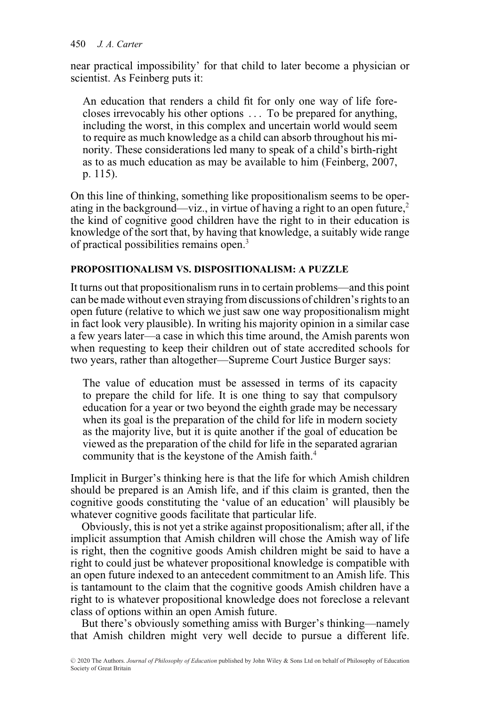near practical impossibility' for that child to later become a physician or scientist. As Feinberg puts it:

An education that renders a child fit for only one way of life forecloses irrevocably his other options . . . To be prepared for anything, including the worst, in this complex and uncertain world would seem to require as much knowledge as a child can absorb throughout his minority. These considerations led many to speak of a child's birth-right as to as much education as may be available to him (Feinberg, 2007, p. 115).

On this line of thinking, something like propositionalism seems to be operating in the background—viz., in virtue of having a right to an open future, $2$ the kind of cognitive good children have the right to in their education is knowledge of the sort that, by having that knowledge, a suitably wide range of practical possibilities remains open.3

## **PROPOSITIONALISM VS. DISPOSITIONALISM: A PUZZLE**

It turns out that propositionalism runs in to certain problems—and this point can be made without even straying from discussions of children's rights to an open future (relative to which we just saw one way propositionalism might in fact look very plausible). In writing his majority opinion in a similar case a few years later—a case in which this time around, the Amish parents won when requesting to keep their children out of state accredited schools for two years, rather than altogether—Supreme Court Justice Burger says:

The value of education must be assessed in terms of its capacity to prepare the child for life. It is one thing to say that compulsory education for a year or two beyond the eighth grade may be necessary when its goal is the preparation of the child for life in modern society as the majority live, but it is quite another if the goal of education be viewed as the preparation of the child for life in the separated agrarian community that is the keystone of the Amish faith.4

Implicit in Burger's thinking here is that the life for which Amish children should be prepared is an Amish life, and if this claim is granted, then the cognitive goods constituting the 'value of an education' will plausibly be whatever cognitive goods facilitate that particular life.

Obviously, this is not yet a strike against propositionalism; after all, if the implicit assumption that Amish children will chose the Amish way of life is right, then the cognitive goods Amish children might be said to have a right to could just be whatever propositional knowledge is compatible with an open future indexed to an antecedent commitment to an Amish life. This is tantamount to the claim that the cognitive goods Amish children have a right to is whatever propositional knowledge does not foreclose a relevant class of options within an open Amish future.

But there's obviously something amiss with Burger's thinking—namely that Amish children might very well decide to pursue a different life.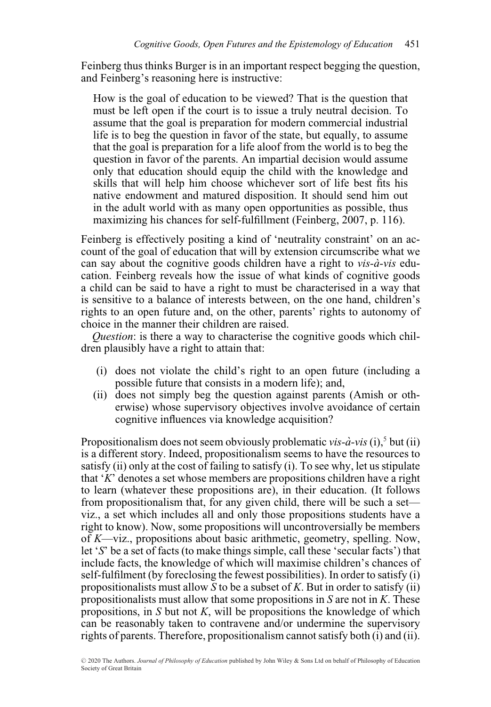Feinberg thus thinks Burger is in an important respect begging the question, and Feinberg's reasoning here is instructive:

How is the goal of education to be viewed? That is the question that must be left open if the court is to issue a truly neutral decision. To assume that the goal is preparation for modern commercial industrial life is to beg the question in favor of the state, but equally, to assume that the goal is preparation for a life aloof from the world is to beg the question in favor of the parents. An impartial decision would assume only that education should equip the child with the knowledge and skills that will help him choose whichever sort of life best fits his native endowment and matured disposition. It should send him out in the adult world with as many open opportunities as possible, thus maximizing his chances for self-fulfillment (Feinberg, 2007, p. 116).

Feinberg is effectively positing a kind of 'neutrality constraint' on an account of the goal of education that will by extension circumscribe what we can say about the cognitive goods children have a right to *vis-a-vis `* education. Feinberg reveals how the issue of what kinds of cognitive goods a child can be said to have a right to must be characterised in a way that is sensitive to a balance of interests between, on the one hand, children's rights to an open future and, on the other, parents' rights to autonomy of choice in the manner their children are raised.

*Question*: is there a way to characterise the cognitive goods which children plausibly have a right to attain that:

- (i) does not violate the child's right to an open future (including a possible future that consists in a modern life); and,
- (ii) does not simply beg the question against parents (Amish or otherwise) whose supervisory objectives involve avoidance of certain cognitive influences via knowledge acquisition?

Propositionalism does not seem obviously problematic *vis-à-vis*  $(i)$ ,<sup>5</sup> but  $(ii)$ is a different story. Indeed, propositionalism seems to have the resources to satisfy (ii) only at the cost of failing to satisfy (i). To see why, let us stipulate that '*K*' denotes a set whose members are propositions children have a right to learn (whatever these propositions are), in their education. (It follows from propositionalism that, for any given child, there will be such a set viz., a set which includes all and only those propositions students have a right to know). Now, some propositions will uncontroversially be members of *K*—viz., propositions about basic arithmetic, geometry, spelling. Now, let '*S*' be a set of facts (to make things simple, call these 'secular facts') that include facts, the knowledge of which will maximise children's chances of self-fulfilment (by foreclosing the fewest possibilities). In order to satisfy (i) propositionalists must allow *S* to be a subset of *K*. But in order to satisfy (ii) propositionalists must allow that some propositions in *S* are not in *K*. These propositions, in *S* but not *K*, will be propositions the knowledge of which can be reasonably taken to contravene and/or undermine the supervisory rights of parents. Therefore, propositionalism cannot satisfy both (i) and (ii).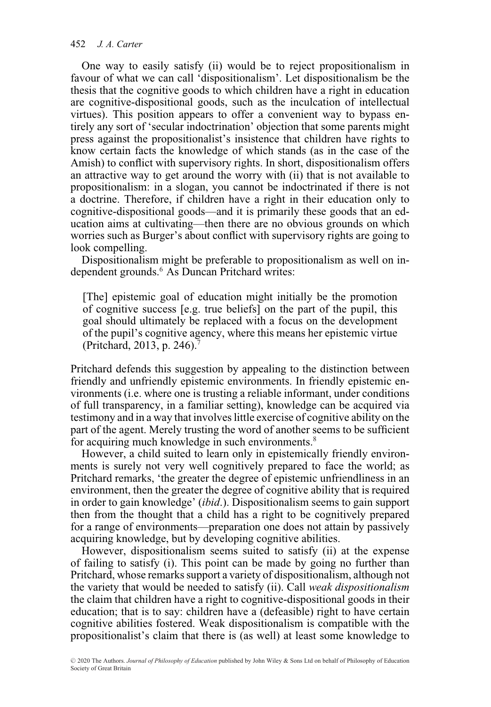One way to easily satisfy (ii) would be to reject propositionalism in favour of what we can call 'dispositionalism'. Let dispositionalism be the thesis that the cognitive goods to which children have a right in education are cognitive-dispositional goods, such as the inculcation of intellectual virtues). This position appears to offer a convenient way to bypass entirely any sort of 'secular indoctrination' objection that some parents might press against the propositionalist's insistence that children have rights to know certain facts the knowledge of which stands (as in the case of the Amish) to conflict with supervisory rights. In short, dispositionalism offers an attractive way to get around the worry with (ii) that is not available to propositionalism: in a slogan, you cannot be indoctrinated if there is not a doctrine. Therefore, if children have a right in their education only to cognitive-dispositional goods—and it is primarily these goods that an education aims at cultivating—then there are no obvious grounds on which worries such as Burger's about conflict with supervisory rights are going to look compelling.

Dispositionalism might be preferable to propositionalism as well on independent grounds.<sup>6</sup> As Duncan Pritchard writes:

[The] epistemic goal of education might initially be the promotion of cognitive success [e.g. true beliefs] on the part of the pupil, this goal should ultimately be replaced with a focus on the development of the pupil's cognitive agency, where this means her epistemic virtue (Pritchard, 2013, p. 246).7

Pritchard defends this suggestion by appealing to the distinction between friendly and unfriendly epistemic environments. In friendly epistemic environments (i.e. where one is trusting a reliable informant, under conditions of full transparency, in a familiar setting), knowledge can be acquired via testimony and in a way that involves little exercise of cognitive ability on the part of the agent. Merely trusting the word of another seems to be sufficient for acquiring much knowledge in such environments.<sup>8</sup>

However, a child suited to learn only in epistemically friendly environments is surely not very well cognitively prepared to face the world; as Pritchard remarks, 'the greater the degree of epistemic unfriendliness in an environment, then the greater the degree of cognitive ability that is required in order to gain knowledge' (*ibid*.). Dispositionalism seems to gain support then from the thought that a child has a right to be cognitively prepared for a range of environments—preparation one does not attain by passively acquiring knowledge, but by developing cognitive abilities.

However, dispositionalism seems suited to satisfy (ii) at the expense of failing to satisfy (i). This point can be made by going no further than Pritchard, whose remarks support a variety of dispositionalism, although not the variety that would be needed to satisfy (ii). Call *weak dispositionalism* the claim that children have a right to cognitive-dispositional goods in their education; that is to say: children have a (defeasible) right to have certain cognitive abilities fostered. Weak dispositionalism is compatible with the propositionalist's claim that there is (as well) at least some knowledge to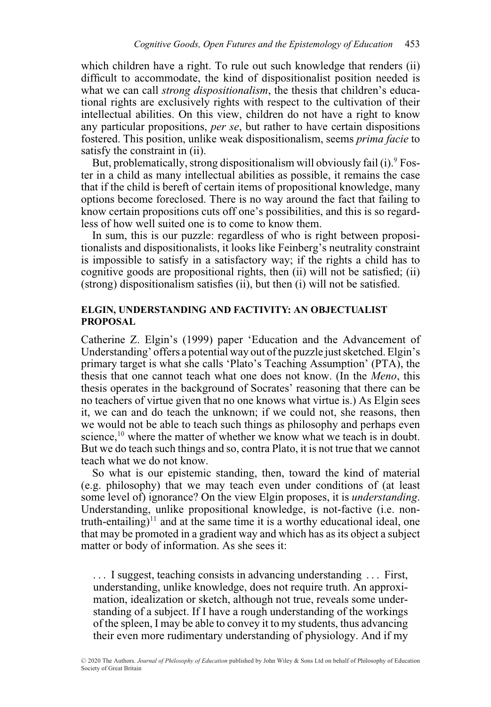which children have a right. To rule out such knowledge that renders (ii) difficult to accommodate, the kind of dispositionalist position needed is what we can call *strong dispositionalism*, the thesis that children's educational rights are exclusively rights with respect to the cultivation of their intellectual abilities. On this view, children do not have a right to know any particular propositions, *per se*, but rather to have certain dispositions fostered. This position, unlike weak dispositionalism, seems *prima facie* to satisfy the constraint in (ii).

But, problematically, strong dispositionalism will obviously fail (i).  $9$  Foster in a child as many intellectual abilities as possible, it remains the case that if the child is bereft of certain items of propositional knowledge, many options become foreclosed. There is no way around the fact that failing to know certain propositions cuts off one's possibilities, and this is so regardless of how well suited one is to come to know them.

In sum, this is our puzzle: regardless of who is right between propositionalists and dispositionalists, it looks like Feinberg's neutrality constraint is impossible to satisfy in a satisfactory way; if the rights a child has to cognitive goods are propositional rights, then (ii) will not be satisfied; (ii) (strong) dispositionalism satisfies (ii), but then (i) will not be satisfied.

## **ELGIN, UNDERSTANDING AND FACTIVITY: AN OBJECTUALIST PROPOSAL**

Catherine Z. Elgin's (1999) paper 'Education and the Advancement of Understanding' offers a potential way out of the puzzle just sketched. Elgin's primary target is what she calls 'Plato's Teaching Assumption' (PTA), the thesis that one cannot teach what one does not know. (In the *Meno*, this thesis operates in the background of Socrates' reasoning that there can be no teachers of virtue given that no one knows what virtue is.) As Elgin sees it, we can and do teach the unknown; if we could not, she reasons, then we would not be able to teach such things as philosophy and perhaps even science,<sup>10</sup> where the matter of whether we know what we teach is in doubt. But we do teach such things and so, contra Plato, it is not true that we cannot teach what we do not know.

So what is our epistemic standing, then, toward the kind of material (e.g. philosophy) that we may teach even under conditions of (at least some level of) ignorance? On the view Elgin proposes, it is *understanding*. Understanding, unlike propositional knowledge, is not-factive (i.e. nontruth-entailing)<sup>11</sup> and at the same time it is a worthy educational ideal, one that may be promoted in a gradient way and which has as its object a subject matter or body of information. As she sees it:

... I suggest, teaching consists in advancing understanding ... First, understanding, unlike knowledge, does not require truth. An approximation, idealization or sketch, although not true, reveals some understanding of a subject. If I have a rough understanding of the workings of the spleen, I may be able to convey it to my students, thus advancing their even more rudimentary understanding of physiology. And if my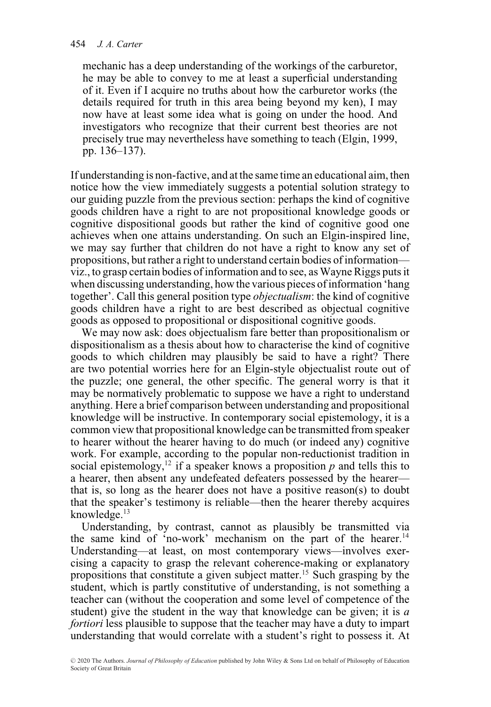mechanic has a deep understanding of the workings of the carburetor, he may be able to convey to me at least a superficial understanding of it. Even if I acquire no truths about how the carburetor works (the details required for truth in this area being beyond my ken), I may now have at least some idea what is going on under the hood. And investigators who recognize that their current best theories are not precisely true may nevertheless have something to teach (Elgin, 1999, pp. 136–137).

If understanding is non-factive, and at the same time an educational aim, then notice how the view immediately suggests a potential solution strategy to our guiding puzzle from the previous section: perhaps the kind of cognitive goods children have a right to are not propositional knowledge goods or cognitive dispositional goods but rather the kind of cognitive good one achieves when one attains understanding. On such an Elgin-inspired line, we may say further that children do not have a right to know any set of propositions, but rather a right to understand certain bodies of information viz., to grasp certain bodies of information and to see, as Wayne Riggs puts it when discussing understanding, how the various pieces of information 'hang together'. Call this general position type *objectualism*: the kind of cognitive goods children have a right to are best described as objectual cognitive goods as opposed to propositional or dispositional cognitive goods.

We may now ask: does objectualism fare better than propositionalism or dispositionalism as a thesis about how to characterise the kind of cognitive goods to which children may plausibly be said to have a right? There are two potential worries here for an Elgin-style objectualist route out of the puzzle; one general, the other specific. The general worry is that it may be normatively problematic to suppose we have a right to understand anything. Here a brief comparison between understanding and propositional knowledge will be instructive. In contemporary social epistemology, it is a common view that propositional knowledge can be transmitted from speaker to hearer without the hearer having to do much (or indeed any) cognitive work. For example, according to the popular non-reductionist tradition in social epistemology,<sup>12</sup> if a speaker knows a proposition  $p$  and tells this to a hearer, then absent any undefeated defeaters possessed by the hearer that is, so long as the hearer does not have a positive reason(s) to doubt that the speaker's testimony is reliable—then the hearer thereby acquires knowledge. $13$ 

Understanding, by contrast, cannot as plausibly be transmitted via the same kind of 'no-work' mechanism on the part of the hearer.<sup>14</sup> Understanding—at least, on most contemporary views—involves exercising a capacity to grasp the relevant coherence-making or explanatory propositions that constitute a given subject matter.15 Such grasping by the student, which is partly constitutive of understanding, is not something a teacher can (without the cooperation and some level of competence of the student) give the student in the way that knowledge can be given; it is *a fortiori* less plausible to suppose that the teacher may have a duty to impart understanding that would correlate with a student's right to possess it. At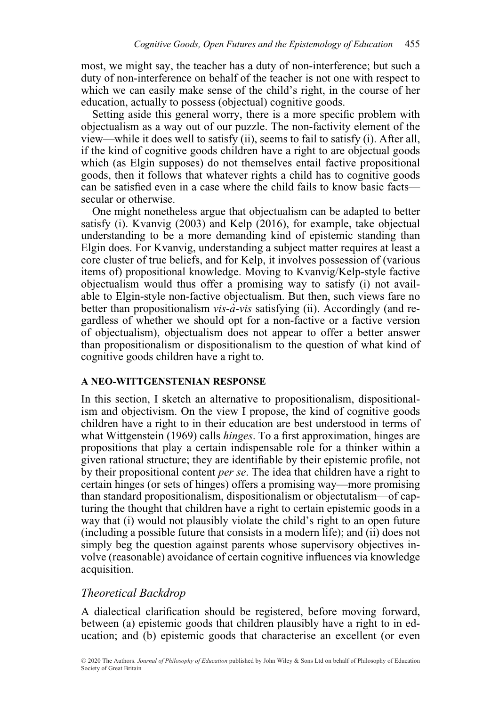most, we might say, the teacher has a duty of non-interference; but such a duty of non-interference on behalf of the teacher is not one with respect to which we can easily make sense of the child's right, in the course of her education, actually to possess (objectual) cognitive goods.

Setting aside this general worry, there is a more specific problem with objectualism as a way out of our puzzle. The non-factivity element of the view—while it does well to satisfy (ii), seems to fail to satisfy (i). After all, if the kind of cognitive goods children have a right to are objectual goods which (as Elgin supposes) do not themselves entail factive propositional goods, then it follows that whatever rights a child has to cognitive goods can be satisfied even in a case where the child fails to know basic facts secular or otherwise.

One might nonetheless argue that objectualism can be adapted to better satisfy (i). Kvanvig (2003) and Kelp (2016), for example, take objectual understanding to be a more demanding kind of epistemic standing than Elgin does. For Kvanvig, understanding a subject matter requires at least a core cluster of true beliefs, and for Kelp, it involves possession of (various items of) propositional knowledge. Moving to Kvanvig/Kelp-style factive objectualism would thus offer a promising way to satisfy (i) not available to Elgin-style non-factive objectualism. But then, such views fare no better than propositionalism *vis-à-vis* satisfying (ii). Accordingly (and regardless of whether we should opt for a non-factive or a factive version of objectualism), objectualism does not appear to offer a better answer than propositionalism or dispositionalism to the question of what kind of cognitive goods children have a right to.

#### **A NEO-WITTGENSTENIAN RESPONSE**

In this section, I sketch an alternative to propositionalism, dispositionalism and objectivism. On the view I propose, the kind of cognitive goods children have a right to in their education are best understood in terms of what Wittgenstein (1969) calls *hinges*. To a first approximation, hinges are propositions that play a certain indispensable role for a thinker within a given rational structure; they are identifiable by their epistemic profile, not by their propositional content *per se*. The idea that children have a right to certain hinges (or sets of hinges) offers a promising way—more promising than standard propositionalism, dispositionalism or objectutalism—of capturing the thought that children have a right to certain epistemic goods in a way that (i) would not plausibly violate the child's right to an open future (including a possible future that consists in a modern life); and (ii) does not simply beg the question against parents whose supervisory objectives involve (reasonable) avoidance of certain cognitive influences via knowledge acquisition.

## *Theoretical Backdrop*

A dialectical clarification should be registered, before moving forward, between (a) epistemic goods that children plausibly have a right to in education; and (b) epistemic goods that characterise an excellent (or even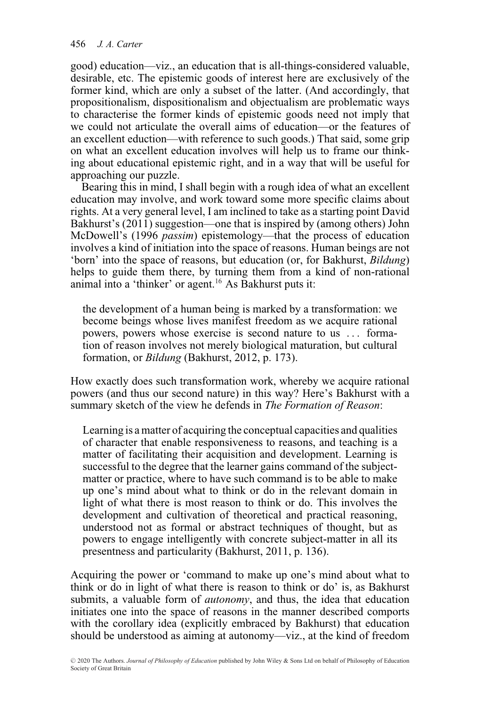good) education—viz., an education that is all-things-considered valuable, desirable, etc. The epistemic goods of interest here are exclusively of the former kind, which are only a subset of the latter. (And accordingly, that propositionalism, dispositionalism and objectualism are problematic ways to characterise the former kinds of epistemic goods need not imply that we could not articulate the overall aims of education—or the features of an excellent eduction—with reference to such goods.) That said, some grip on what an excellent education involves will help us to frame our thinking about educational epistemic right, and in a way that will be useful for approaching our puzzle.

Bearing this in mind, I shall begin with a rough idea of what an excellent education may involve, and work toward some more specific claims about rights. At a very general level, I am inclined to take as a starting point David Bakhurst's (2011) suggestion—one that is inspired by (among others) John McDowell's (1996 *passim*) epistemology—that the process of education involves a kind of initiation into the space of reasons. Human beings are not 'born' into the space of reasons, but education (or, for Bakhurst, *Bildung*) helps to guide them there, by turning them from a kind of non-rational animal into a 'thinker' or agent.16 As Bakhurst puts it:

the development of a human being is marked by a transformation: we become beings whose lives manifest freedom as we acquire rational powers, powers whose exercise is second nature to us . . . formation of reason involves not merely biological maturation, but cultural formation, or *Bildung* (Bakhurst, 2012, p. 173).

How exactly does such transformation work, whereby we acquire rational powers (and thus our second nature) in this way? Here's Bakhurst with a summary sketch of the view he defends in *The Formation of Reason*:

Learning is a matter of acquiring the conceptual capacities and qualities of character that enable responsiveness to reasons, and teaching is a matter of facilitating their acquisition and development. Learning is successful to the degree that the learner gains command of the subjectmatter or practice, where to have such command is to be able to make up one's mind about what to think or do in the relevant domain in light of what there is most reason to think or do. This involves the development and cultivation of theoretical and practical reasoning, understood not as formal or abstract techniques of thought, but as powers to engage intelligently with concrete subject-matter in all its presentness and particularity (Bakhurst, 2011, p. 136).

Acquiring the power or 'command to make up one's mind about what to think or do in light of what there is reason to think or do' is, as Bakhurst submits, a valuable form of *autonomy*, and thus, the idea that education initiates one into the space of reasons in the manner described comports with the corollary idea (explicitly embraced by Bakhurst) that education should be understood as aiming at autonomy—viz., at the kind of freedom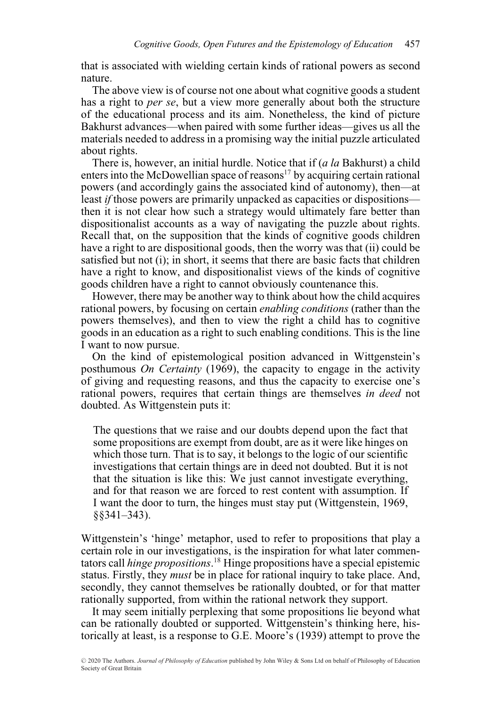that is associated with wielding certain kinds of rational powers as second nature.

The above view is of course not one about what cognitive goods a student has a right to *per se*, but a view more generally about both the structure of the educational process and its aim. Nonetheless, the kind of picture Bakhurst advances—when paired with some further ideas—gives us all the materials needed to address in a promising way the initial puzzle articulated about rights.

There is, however, an initial hurdle. Notice that if (*a la* Bakhurst) a child enters into the McDowellian space of reasons $17$  by acquiring certain rational powers (and accordingly gains the associated kind of autonomy), then—at least *if* those powers are primarily unpacked as capacities or dispositions then it is not clear how such a strategy would ultimately fare better than dispositionalist accounts as a way of navigating the puzzle about rights. Recall that, on the supposition that the kinds of cognitive goods children have a right to are dispositional goods, then the worry was that (ii) could be satisfied but not (i); in short, it seems that there are basic facts that children have a right to know, and dispositionalist views of the kinds of cognitive goods children have a right to cannot obviously countenance this.

However, there may be another way to think about how the child acquires rational powers, by focusing on certain *enabling conditions* (rather than the powers themselves), and then to view the right a child has to cognitive goods in an education as a right to such enabling conditions. This is the line I want to now pursue.

On the kind of epistemological position advanced in Wittgenstein's posthumous *On Certainty* (1969), the capacity to engage in the activity of giving and requesting reasons, and thus the capacity to exercise one's rational powers, requires that certain things are themselves *in deed* not doubted. As Wittgenstein puts it:

The questions that we raise and our doubts depend upon the fact that some propositions are exempt from doubt, are as it were like hinges on which those turn. That is to say, it belongs to the logic of our scientific investigations that certain things are in deed not doubted. But it is not that the situation is like this: We just cannot investigate everything, and for that reason we are forced to rest content with assumption. If I want the door to turn, the hinges must stay put (Wittgenstein, 1969, §§341–343).

Wittgenstein's 'hinge' metaphor, used to refer to propositions that play a certain role in our investigations, is the inspiration for what later commentators call *hinge propositions*. <sup>18</sup> Hinge propositions have a special epistemic status. Firstly, they *must* be in place for rational inquiry to take place. And, secondly, they cannot themselves be rationally doubted, or for that matter rationally supported, from within the rational network they support.

It may seem initially perplexing that some propositions lie beyond what can be rationally doubted or supported. Wittgenstein's thinking here, historically at least, is a response to G.E. Moore's (1939) attempt to prove the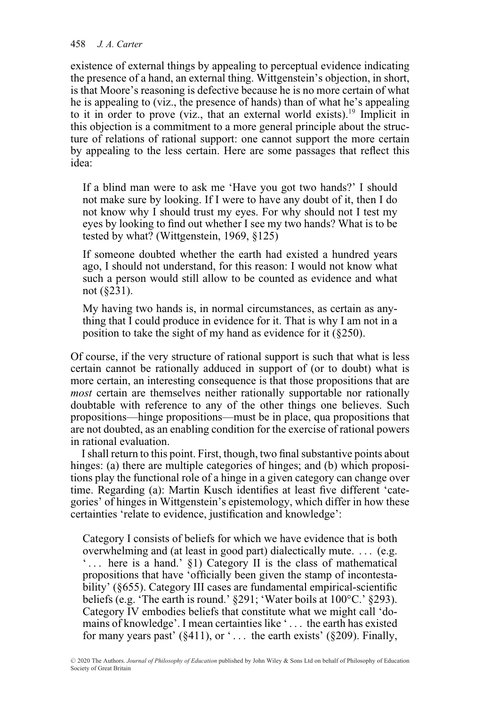existence of external things by appealing to perceptual evidence indicating the presence of a hand, an external thing. Wittgenstein's objection, in short, is that Moore's reasoning is defective because he is no more certain of what he is appealing to (viz., the presence of hands) than of what he's appealing to it in order to prove (viz., that an external world exists).<sup>19</sup> Implicit in this objection is a commitment to a more general principle about the structure of relations of rational support: one cannot support the more certain by appealing to the less certain. Here are some passages that reflect this idea:

If a blind man were to ask me 'Have you got two hands?' I should not make sure by looking. If I were to have any doubt of it, then I do not know why I should trust my eyes. For why should not I test my eyes by looking to find out whether I see my two hands? What is to be tested by what? (Wittgenstein, 1969, §125)

If someone doubted whether the earth had existed a hundred years ago, I should not understand, for this reason: I would not know what such a person would still allow to be counted as evidence and what not (§231).

My having two hands is, in normal circumstances, as certain as anything that I could produce in evidence for it. That is why I am not in a position to take the sight of my hand as evidence for it (§250).

Of course, if the very structure of rational support is such that what is less certain cannot be rationally adduced in support of (or to doubt) what is more certain, an interesting consequence is that those propositions that are *most* certain are themselves neither rationally supportable nor rationally doubtable with reference to any of the other things one believes. Such propositions—hinge propositions—must be in place, qua propositions that are not doubted, as an enabling condition for the exercise of rational powers in rational evaluation.

I shall return to this point. First, though, two final substantive points about hinges: (a) there are multiple categories of hinges; and (b) which propositions play the functional role of a hinge in a given category can change over time. Regarding (a): Martin Kusch identifies at least five different 'categories' of hinges in Wittgenstein's epistemology, which differ in how these certainties 'relate to evidence, justification and knowledge':

Category I consists of beliefs for which we have evidence that is both overwhelming and (at least in good part) dialectically mute. . . . (e.g. '... here is a hand.' §1) Category II is the class of mathematical propositions that have 'officially been given the stamp of incontestability' (§655). Category III cases are fundamental empirical-scientific beliefs (e.g. 'The earth is round.' §291; 'Water boils at 100°C.' §293). Category IV embodies beliefs that constitute what we might call 'domains of knowledge'. I mean certainties like ' . . . the earth has existed for many years past' ( $\S 411$ ), or '... the earth exists' ( $\S 209$ ). Finally,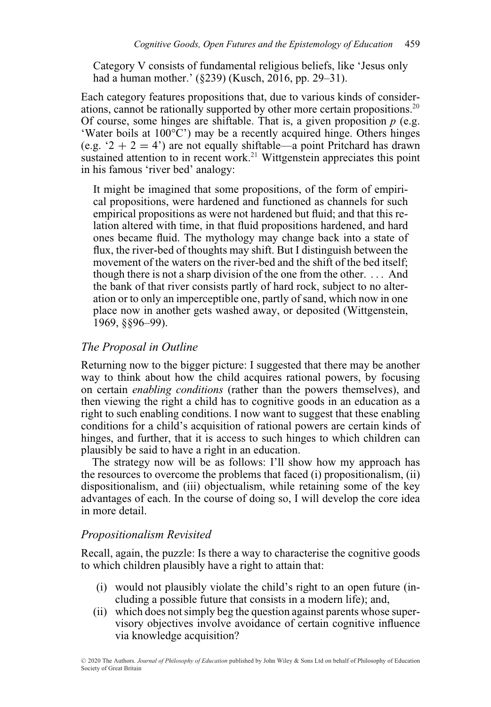Category V consists of fundamental religious beliefs, like 'Jesus only had a human mother.' (§239) (Kusch, 2016, pp. 29–31).

Each category features propositions that, due to various kinds of considerations, cannot be rationally supported by other more certain propositions.20 Of course, some hinges are shiftable. That is, a given proposition *p* (e.g. 'Water boils at 100°C') may be a recently acquired hinge. Others hinges (e.g. ' $2 + 2 = 4$ ') are not equally shiftable—a point Pritchard has drawn sustained attention to in recent work.<sup>21</sup> Wittgenstein appreciates this point in his famous 'river bed' analogy:

It might be imagined that some propositions, of the form of empirical propositions, were hardened and functioned as channels for such empirical propositions as were not hardened but fluid; and that this relation altered with time, in that fluid propositions hardened, and hard ones became fluid. The mythology may change back into a state of flux, the river-bed of thoughts may shift. But I distinguish between the movement of the waters on the river-bed and the shift of the bed itself; though there is not a sharp division of the one from the other. . . . And the bank of that river consists partly of hard rock, subject to no alteration or to only an imperceptible one, partly of sand, which now in one place now in another gets washed away, or deposited (Wittgenstein, 1969, §§96–99).

## *The Proposal in Outline*

Returning now to the bigger picture: I suggested that there may be another way to think about how the child acquires rational powers, by focusing on certain *enabling conditions* (rather than the powers themselves), and then viewing the right a child has to cognitive goods in an education as a right to such enabling conditions. I now want to suggest that these enabling conditions for a child's acquisition of rational powers are certain kinds of hinges, and further, that it is access to such hinges to which children can plausibly be said to have a right in an education.

The strategy now will be as follows: I'll show how my approach has the resources to overcome the problems that faced (i) propositionalism, (ii) dispositionalism, and (iii) objectualism, while retaining some of the key advantages of each. In the course of doing so, I will develop the core idea in more detail.

### *Propositionalism Revisited*

Recall, again, the puzzle: Is there a way to characterise the cognitive goods to which children plausibly have a right to attain that:

- (i) would not plausibly violate the child's right to an open future (including a possible future that consists in a modern life); and,
- (ii) which does not simply beg the question against parents whose supervisory objectives involve avoidance of certain cognitive influence via knowledge acquisition?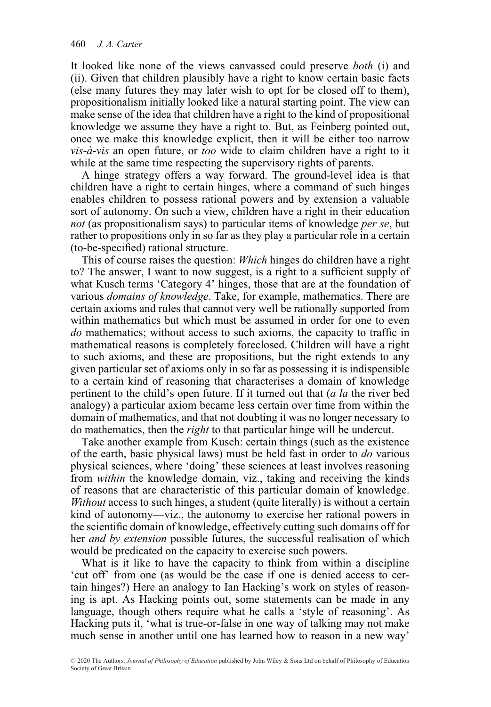It looked like none of the views canvassed could preserve *both* (i) and (ii). Given that children plausibly have a right to know certain basic facts (else many futures they may later wish to opt for be closed off to them), propositionalism initially looked like a natural starting point. The view can make sense of the idea that children have a right to the kind of propositional knowledge we assume they have a right to. But, as Feinberg pointed out, once we make this knowledge explicit, then it will be either too narrow *vis-a-vis `* an open future, or *too* wide to claim children have a right to it while at the same time respecting the supervisory rights of parents.

A hinge strategy offers a way forward. The ground-level idea is that children have a right to certain hinges, where a command of such hinges enables children to possess rational powers and by extension a valuable sort of autonomy. On such a view, children have a right in their education *not* (as propositionalism says) to particular items of knowledge *per se*, but rather to propositions only in so far as they play a particular role in a certain (to-be-specified) rational structure.

This of course raises the question: *Which* hinges do children have a right to? The answer, I want to now suggest, is a right to a sufficient supply of what Kusch terms 'Category 4' hinges, those that are at the foundation of various *domains of knowledge*. Take, for example, mathematics. There are certain axioms and rules that cannot very well be rationally supported from within mathematics but which must be assumed in order for one to even *do* mathematics; without access to such axioms, the capacity to traffic in mathematical reasons is completely foreclosed. Children will have a right to such axioms, and these are propositions, but the right extends to any given particular set of axioms only in so far as possessing it is indispensible to a certain kind of reasoning that characterises a domain of knowledge pertinent to the child's open future. If it turned out that (*a la* the river bed analogy) a particular axiom became less certain over time from within the domain of mathematics, and that not doubting it was no longer necessary to do mathematics, then the *right* to that particular hinge will be undercut.

Take another example from Kusch: certain things (such as the existence of the earth, basic physical laws) must be held fast in order to *do* various physical sciences, where 'doing' these sciences at least involves reasoning from *within* the knowledge domain, viz., taking and receiving the kinds of reasons that are characteristic of this particular domain of knowledge. *Without* access to such hinges, a student (quite literally) is without a certain kind of autonomy—viz., the autonomy to exercise her rational powers in the scientific domain of knowledge, effectively cutting such domains off for her *and by extension* possible futures, the successful realisation of which would be predicated on the capacity to exercise such powers.

What is it like to have the capacity to think from within a discipline 'cut off' from one (as would be the case if one is denied access to certain hinges?) Here an analogy to Ian Hacking's work on styles of reasoning is apt. As Hacking points out, some statements can be made in any language, though others require what he calls a 'style of reasoning'. As Hacking puts it, 'what is true-or-false in one way of talking may not make much sense in another until one has learned how to reason in a new way'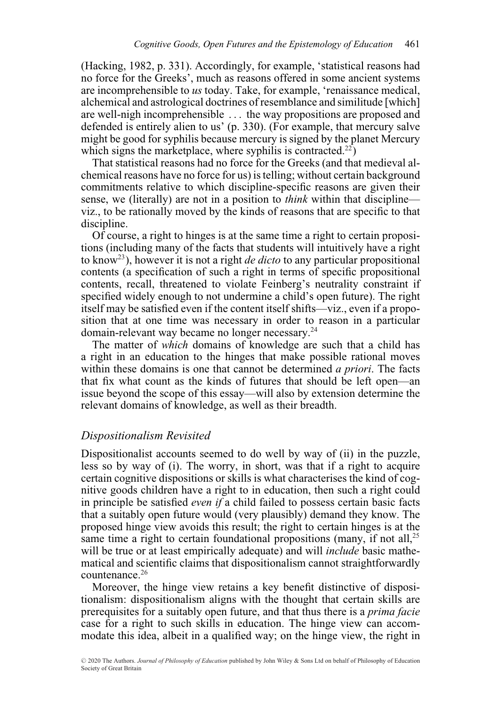(Hacking, 1982, p. 331). Accordingly, for example, 'statistical reasons had no force for the Greeks', much as reasons offered in some ancient systems are incomprehensible to *us* today. Take, for example, 'renaissance medical, alchemical and astrological doctrines of resemblance and similitude [which] are well-nigh incomprehensible . . . the way propositions are proposed and defended is entirely alien to us' (p. 330). (For example, that mercury salve might be good for syphilis because mercury is signed by the planet Mercury which signs the marketplace, where syphilis is contracted.<sup>22</sup>)

That statistical reasons had no force for the Greeks (and that medieval alchemical reasons have no force for us) is telling; without certain background commitments relative to which discipline-specific reasons are given their sense, we (literally) are not in a position to *think* within that discipline viz., to be rationally moved by the kinds of reasons that are specific to that discipline.

Of course, a right to hinges is at the same time a right to certain propositions (including many of the facts that students will intuitively have a right to know23), however it is not a right *de dicto* to any particular propositional contents (a specification of such a right in terms of specific propositional contents, recall, threatened to violate Feinberg's neutrality constraint if specified widely enough to not undermine a child's open future). The right itself may be satisfied even if the content itself shifts—viz., even if a proposition that at one time was necessary in order to reason in a particular domain-relevant way became no longer necessary.24

The matter of *which* domains of knowledge are such that a child has a right in an education to the hinges that make possible rational moves within these domains is one that cannot be determined *a priori*. The facts that fix what count as the kinds of futures that should be left open—an issue beyond the scope of this essay—will also by extension determine the relevant domains of knowledge, as well as their breadth.

#### *Dispositionalism Revisited*

Dispositionalist accounts seemed to do well by way of (ii) in the puzzle, less so by way of (i). The worry, in short, was that if a right to acquire certain cognitive dispositions or skills is what characterises the kind of cognitive goods children have a right to in education, then such a right could in principle be satisfied *even if* a child failed to possess certain basic facts that a suitably open future would (very plausibly) demand they know. The proposed hinge view avoids this result; the right to certain hinges is at the same time a right to certain foundational propositions (many, if not all, $^{25}$ ) will be true or at least empirically adequate) and will *include* basic mathematical and scientific claims that dispositionalism cannot straightforwardly countenance.26

Moreover, the hinge view retains a key benefit distinctive of dispositionalism: dispositionalism aligns with the thought that certain skills are prerequisites for a suitably open future, and that thus there is a *prima facie* case for a right to such skills in education. The hinge view can accommodate this idea, albeit in a qualified way; on the hinge view, the right in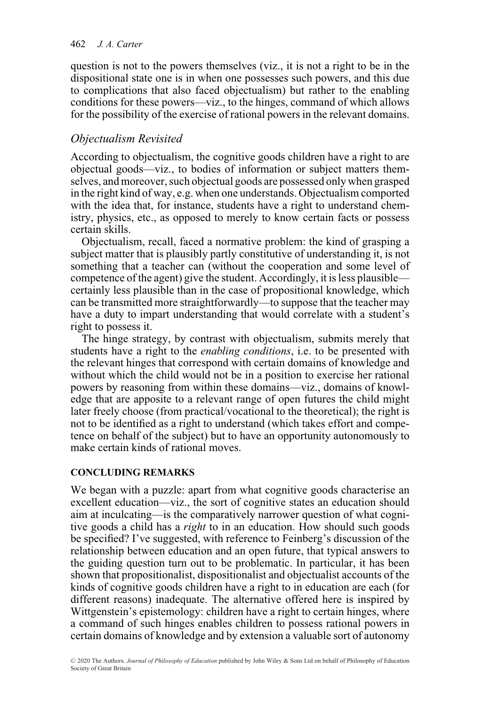question is not to the powers themselves (viz., it is not a right to be in the dispositional state one is in when one possesses such powers, and this due to complications that also faced objectualism) but rather to the enabling conditions for these powers—viz., to the hinges, command of which allows for the possibility of the exercise of rational powers in the relevant domains.

# *Objectualism Revisited*

According to objectualism, the cognitive goods children have a right to are objectual goods—viz., to bodies of information or subject matters themselves, and moreover, such objectual goods are possessed only when grasped in the right kind of way, e.g. when one understands. Objectualism comported with the idea that, for instance, students have a right to understand chemistry, physics, etc., as opposed to merely to know certain facts or possess certain skills.

Objectualism, recall, faced a normative problem: the kind of grasping a subject matter that is plausibly partly constitutive of understanding it, is not something that a teacher can (without the cooperation and some level of competence of the agent) give the student. Accordingly, it is less plausible certainly less plausible than in the case of propositional knowledge, which can be transmitted more straightforwardly—to suppose that the teacher may have a duty to impart understanding that would correlate with a student's right to possess it.

The hinge strategy, by contrast with objectualism, submits merely that students have a right to the *enabling conditions*, i.e. to be presented with the relevant hinges that correspond with certain domains of knowledge and without which the child would not be in a position to exercise her rational powers by reasoning from within these domains—viz., domains of knowledge that are apposite to a relevant range of open futures the child might later freely choose (from practical/vocational to the theoretical); the right is not to be identified as a right to understand (which takes effort and competence on behalf of the subject) but to have an opportunity autonomously to make certain kinds of rational moves.

#### **CONCLUDING REMARKS**

We began with a puzzle: apart from what cognitive goods characterise an excellent education—viz., the sort of cognitive states an education should aim at inculcating—is the comparatively narrower question of what cognitive goods a child has a *right* to in an education. How should such goods be specified? I've suggested, with reference to Feinberg's discussion of the relationship between education and an open future, that typical answers to the guiding question turn out to be problematic. In particular, it has been shown that propositionalist, dispositionalist and objectualist accounts of the kinds of cognitive goods children have a right to in education are each (for different reasons) inadequate. The alternative offered here is inspired by Wittgenstein's epistemology: children have a right to certain hinges, where a command of such hinges enables children to possess rational powers in certain domains of knowledge and by extension a valuable sort of autonomy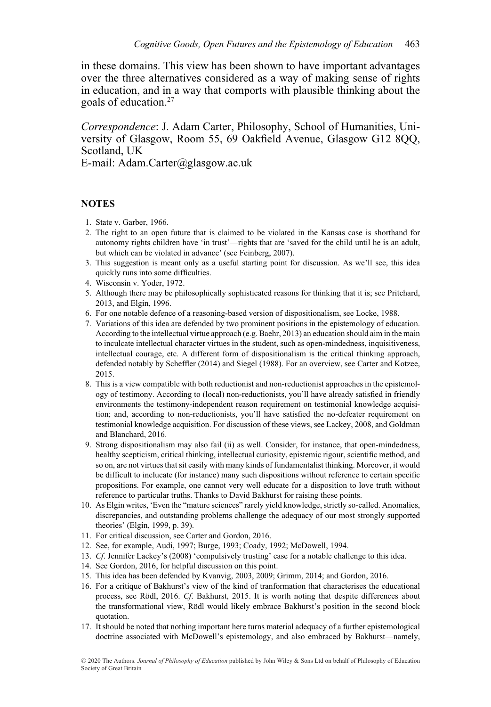in these domains. This view has been shown to have important advantages over the three alternatives considered as a way of making sense of rights in education, and in a way that comports with plausible thinking about the goals of education.27

*Correspondence*: J. Adam Carter, Philosophy, School of Humanities, University of Glasgow, Room 55, 69 Oakfield Avenue, Glasgow G12 8QQ, Scotland, UK

E-mail: Adam.Carter@glasgow.ac.uk

### **NOTES**

- 1. State v. Garber, 1966.
- 2. The right to an open future that is claimed to be violated in the Kansas case is shorthand for autonomy rights children have 'in trust'—rights that are 'saved for the child until he is an adult, but which can be violated in advance' (see Feinberg, 2007).
- 3. This suggestion is meant only as a useful starting point for discussion. As we'll see, this idea quickly runs into some difficulties.
- 4. Wisconsin v. Yoder, 1972.
- 5. Although there may be philosophically sophisticated reasons for thinking that it is; see Pritchard, 2013, and Elgin, 1996.
- 6. For one notable defence of a reasoning-based version of dispositionalism, see Locke, 1988.
- 7. Variations of this idea are defended by two prominent positions in the epistemology of education. According to the intellectual virtue approach (e.g. Baehr, 2013) an education should aim in the main to inculcate intellectual character virtues in the student, such as open-mindedness, inquisitiveness, intellectual courage, etc. A different form of dispositionalism is the critical thinking approach, defended notably by Scheffler (2014) and Siegel (1988). For an overview, see Carter and Kotzee, 2015.
- 8. This is a view compatible with both reductionist and non-reductionist approaches in the epistemology of testimony. According to (local) non-reductionists, you'll have already satisfied in friendly environments the testimony-independent reason requirement on testimonial knowledge acquisition; and, according to non-reductionists, you'll have satisfied the no-defeater requirement on testimonial knowledge acquisition. For discussion of these views, see Lackey, 2008, and Goldman and Blanchard, 2016.
- 9. Strong dispositionalism may also fail (ii) as well. Consider, for instance, that open-mindedness, healthy scepticism, critical thinking, intellectual curiosity, epistemic rigour, scientific method, and so on, are not virtues that sit easily with many kinds of fundamentalist thinking. Moreover, it would be difficult to inclucate (for instance) many such dispositions without reference to certain specific propositions. For example, one cannot very well educate for a disposition to love truth without reference to particular truths. Thanks to David Bakhurst for raising these points.
- 10. As Elgin writes, 'Even the "mature sciences" rarely yield knowledge, strictly so-called. Anomalies, discrepancies, and outstanding problems challenge the adequacy of our most strongly supported theories' (Elgin, 1999, p. 39).
- 11. For critical discussion, see Carter and Gordon, 2016.
- 12. See, for example, Audi, 1997; Burge, 1993; Coady, 1992; McDowell, 1994.
- 13. *Cf*. Jennifer Lackey's (2008) 'compulsively trusting' case for a notable challenge to this idea.
- 14. See Gordon, 2016, for helpful discussion on this point.
- 15. This idea has been defended by Kvanvig, 2003, 2009; Grimm, 2014; and Gordon, 2016.
- 16. For a critique of Bakhurst's view of the kind of tranformation that characterises the educational process, see Rödl, 2016. *Cf.* Bakhurst, 2015. It is worth noting that despite differences about the transformational view, Rödl would likely embrace Bakhurst's position in the second block quotation.
- 17. It should be noted that nothing important here turns material adequacy of a further epistemological doctrine associated with McDowell's epistemology, and also embraced by Bakhurst—namely,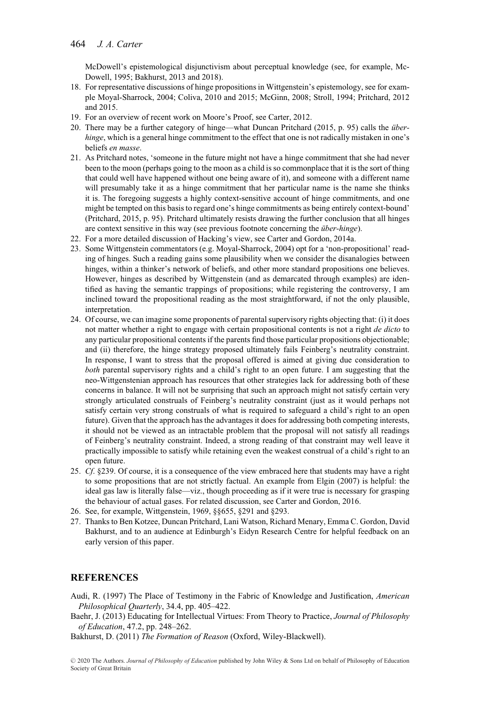McDowell's epistemological disjunctivism about perceptual knowledge (see, for example, Mc-Dowell, 1995; Bakhurst, 2013 and 2018).

- 18. For representative discussions of hinge propositions in Wittgenstein's epistemology, see for example Moyal-Sharrock, 2004; Coliva, 2010 and 2015; McGinn, 2008; Stroll, 1994; Pritchard, 2012 and 2015.
- 19. For an overview of recent work on Moore's Proof, see Carter, 2012.
- 20. There may be a further category of hinge—what Duncan Pritchard (2015, p. 95) calls the *uber- ¨ hinge*, which is a general hinge commitment to the effect that one is not radically mistaken in one's beliefs *en masse*.
- 21. As Pritchard notes, 'someone in the future might not have a hinge commitment that she had never been to the moon (perhaps going to the moon as a child is so commonplace that it is the sort of thing that could well have happened without one being aware of it), and someone with a different name will presumably take it as a hinge commitment that her particular name is the name she thinks it is. The foregoing suggests a highly context-sensitive account of hinge commitments, and one might be tempted on this basis to regard one's hinge commitments as being entirely context-bound' (Pritchard, 2015, p. 95). Pritchard ultimately resists drawing the further conclusion that all hinges are context sensitive in this way (see previous footnote concerning the *über-hinge*).
- 22. For a more detailed discussion of Hacking's view, see Carter and Gordon, 2014a.
- 23. Some Wittgenstein commentators (e.g. Moyal-Sharrock, 2004) opt for a 'non-propositional' reading of hinges. Such a reading gains some plausibility when we consider the disanalogies between hinges, within a thinker's network of beliefs, and other more standard propositions one believes. However, hinges as described by Wittgenstein (and as demarcated through examples) are identified as having the semantic trappings of propositions; while registering the controversy, I am inclined toward the propositional reading as the most straightforward, if not the only plausible, interpretation.
- 24. Of course, we can imagine some proponents of parental supervisory rights objecting that: (i) it does not matter whether a right to engage with certain propositional contents is not a right *de dicto* to any particular propositional contents if the parents find those particular propositions objectionable; and (ii) therefore, the hinge strategy proposed ultimately fails Feinberg's neutrality constraint. In response, I want to stress that the proposal offered is aimed at giving due consideration to *both* parental supervisory rights and a child's right to an open future. I am suggesting that the neo-Wittgenstenian approach has resources that other strategies lack for addressing both of these concerns in balance. It will not be surprising that such an approach might not satisfy certain very strongly articulated construals of Feinberg's neutrality constraint (just as it would perhaps not satisfy certain very strong construals of what is required to safeguard a child's right to an open future). Given that the approach has the advantages it does for addressing both competing interests, it should not be viewed as an intractable problem that the proposal will not satisfy all readings of Feinberg's neutrality constraint. Indeed, a strong reading of that constraint may well leave it practically impossible to satisfy while retaining even the weakest construal of a child's right to an open future.
- 25. *Cf*. §239. Of course, it is a consequence of the view embraced here that students may have a right to some propositions that are not strictly factual. An example from Elgin (2007) is helpful: the ideal gas law is literally false—viz., though proceeding as if it were true is necessary for grasping the behaviour of actual gases. For related discussion, see Carter and Gordon, 2016.
- 26. See, for example, Wittgenstein, 1969, §§655, §291 and §293.
- 27. Thanks to Ben Kotzee, Duncan Pritchard, Lani Watson, Richard Menary, Emma C. Gordon, David Bakhurst, and to an audience at Edinburgh's Eidyn Research Centre for helpful feedback on an early version of this paper.

#### **REFERENCES**

Audi, R. (1997) The Place of Testimony in the Fabric of Knowledge and Justification, *American Philosophical Quarterly*, 34.4, pp. 405–422.

Baehr, J. (2013) Educating for Intellectual Virtues: From Theory to Practice, *Journal of Philosophy of Education*, 47.2, pp. 248–262.

Bakhurst, D. (2011) *The Formation of Reason* (Oxford, Wiley-Blackwell).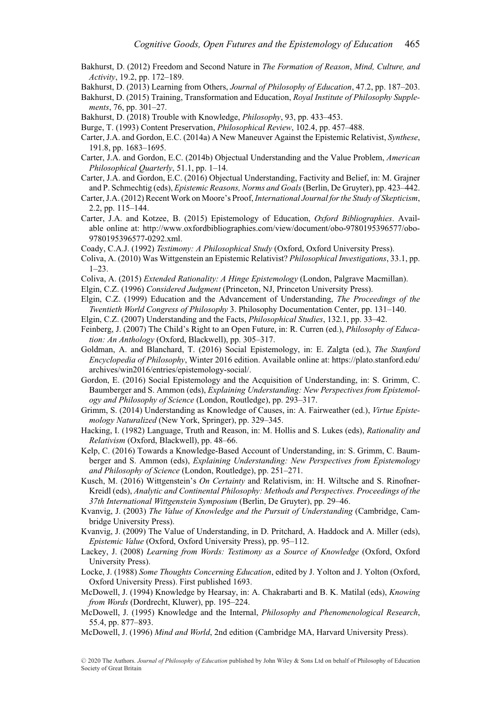- Bakhurst, D. (2012) Freedom and Second Nature in *The Formation of Reason*, *Mind, Culture, and Activity*, 19.2, pp. 172–189.
- Bakhurst, D. (2013) Learning from Others, *Journal of Philosophy of Education*, 47.2, pp. 187–203.
- Bakhurst, D. (2015) Training, Transformation and Education, *Royal Institute of Philosophy Supplements*, 76, pp. 301–27.
- Bakhurst, D. (2018) Trouble with Knowledge, *Philosophy*, 93, pp. 433–453.
- Burge, T. (1993) Content Preservation, *Philosophical Review*, 102.4, pp. 457–488.
- Carter, J.A. and Gordon, E.C. (2014a) A New Maneuver Against the Epistemic Relativist, *Synthese*, 191.8, pp. 1683–1695.
- Carter, J.A. and Gordon, E.C. (2014b) Objectual Understanding and the Value Problem, *American Philosophical Quarterly*, 51.1, pp. 1–14.
- Carter, J.A. and Gordon, E.C. (2016) Objectual Understanding, Factivity and Belief, in: M. Grajner and P. Schmechtig (eds), *Epistemic Reasons, Norms and Goals*(Berlin, De Gruyter), pp. 423–442.
- Carter, J.A. (2012) Recent Work on Moore's Proof, *International Journal for the Study of Skepticism*, 2.2, pp. 115–144.
- Carter, J.A. and Kotzee, B. (2015) Epistemology of Education, *Oxford Bibliographies*. Available online at: http://www.oxfordbibliographies.com/view/document/obo-9780195396577/obo-9780195396577-0292.xml.
- Coady, C.A.J. (1992) *Testimony: A Philosophical Study* (Oxford, Oxford University Press).
- Coliva, A. (2010) Was Wittgenstein an Epistemic Relativist? *Philosophical Investigations*, 33.1, pp. 1–23.
- Coliva, A. (2015) *Extended Rationality: A Hinge Epistemology* (London, Palgrave Macmillan).
- Elgin, C.Z. (1996) *Considered Judgment* (Princeton, NJ, Princeton University Press).
- Elgin, C.Z. (1999) Education and the Advancement of Understanding, *The Proceedings of the Twentieth World Congress of Philosophy* 3. Philosophy Documentation Center, pp. 131–140.
- Elgin, C.Z. (2007) Understanding and the Facts, *Philosophical Studies*, 132.1, pp. 33–42.
- Feinberg, J. (2007) The Child's Right to an Open Future, in: R. Curren (ed.), *Philosophy of Education: An Anthology* (Oxford, Blackwell), pp. 305–317.
- Goldman, A. and Blanchard, T. (2016) Social Epistemology, in: E. Zalgta (ed.), *The Stanford Encyclopedia of Philosophy*, Winter 2016 edition. Available online at: https://plato.stanford.edu/ archives/win2016/entries/epistemology-social/.
- Gordon, E. (2016) Social Epistemology and the Acquisition of Understanding, in: S. Grimm, C. Baumberger and S. Ammon (eds), *Explaining Understanding: New Perspectives from Epistemology and Philosophy of Science* (London, Routledge), pp. 293–317.
- Grimm, S. (2014) Understanding as Knowledge of Causes, in: A. Fairweather (ed.), *Virtue Epistemology Naturalized* (New York, Springer), pp. 329–345.
- Hacking, I. (1982) Language, Truth and Reason, in: M. Hollis and S. Lukes (eds), *Rationality and Relativism* (Oxford, Blackwell), pp. 48–66.
- Kelp, C. (2016) Towards a Knowledge-Based Account of Understanding, in: S. Grimm, C. Baumberger and S. Ammon (eds), *Explaining Understanding: New Perspectives from Epistemology and Philosophy of Science* (London, Routledge), pp. 251–271.
- Kusch, M. (2016) Wittgenstein's *On Certainty* and Relativism, in: H. Wiltsche and S. Rinofner-Kreidl (eds), *Analytic and Continental Philosophy: Methods and Perspectives. Proceedings of the 37th International Wittgenstein Symposium* (Berlin, De Gruyter), pp. 29–46.
- Kvanvig, J. (2003) *The Value of Knowledge and the Pursuit of Understanding* (Cambridge, Cambridge University Press).
- Kvanvig, J. (2009) The Value of Understanding, in D. Pritchard, A. Haddock and A. Miller (eds), *Epistemic Value* (Oxford, Oxford University Press), pp. 95–112.
- Lackey, J. (2008) *Learning from Words: Testimony as a Source of Knowledge* (Oxford, Oxford University Press).
- Locke, J. (1988) *Some Thoughts Concerning Education*, edited by J. Yolton and J. Yolton (Oxford, Oxford University Press). First published 1693.
- McDowell, J. (1994) Knowledge by Hearsay, in: A. Chakrabarti and B. K. Matilal (eds), *Knowing from Words* (Dordrecht, Kluwer), pp. 195–224.
- McDowell, J. (1995) Knowledge and the Internal, *Philosophy and Phenomenological Research*, 55.4, pp. 877–893.
- McDowell, J. (1996) *Mind and World*, 2nd edition (Cambridge MA, Harvard University Press).